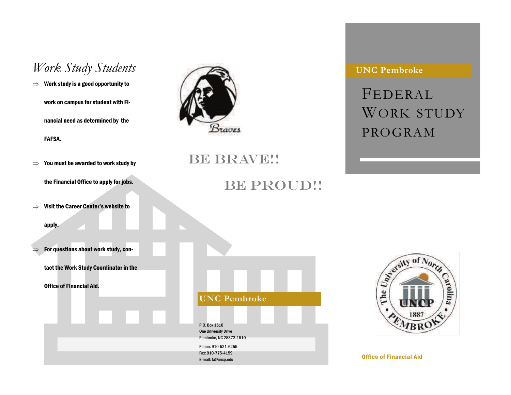# Work Study Students **CONC PERSON**

 $\Rightarrow$  Work study is a good opportunity to work on campus for student with Financial need as determined by the FAFSA.

 $\Rightarrow$  You must be awarded to work study by

the Financial Office to apply for jobs.

 $\implies$  Visit the Career Center's website to

apply.

 $\Rightarrow$   $\;$  For questions about work study, con-

tact the Work Study Coordinator in the

Office of Financial Aid.



## BE BRAVE!!

# **UNC Pembroke**  P.O. Box 1510 One University Drive Pembroke, NC 28372-1510 Phone: 910-521-6255 Fax: 910-775-4159 E-mail: fa@uncp.edu

BE PROUD!!



Office of Financial Aid

FEDERALWORK STUDY PROGRAM